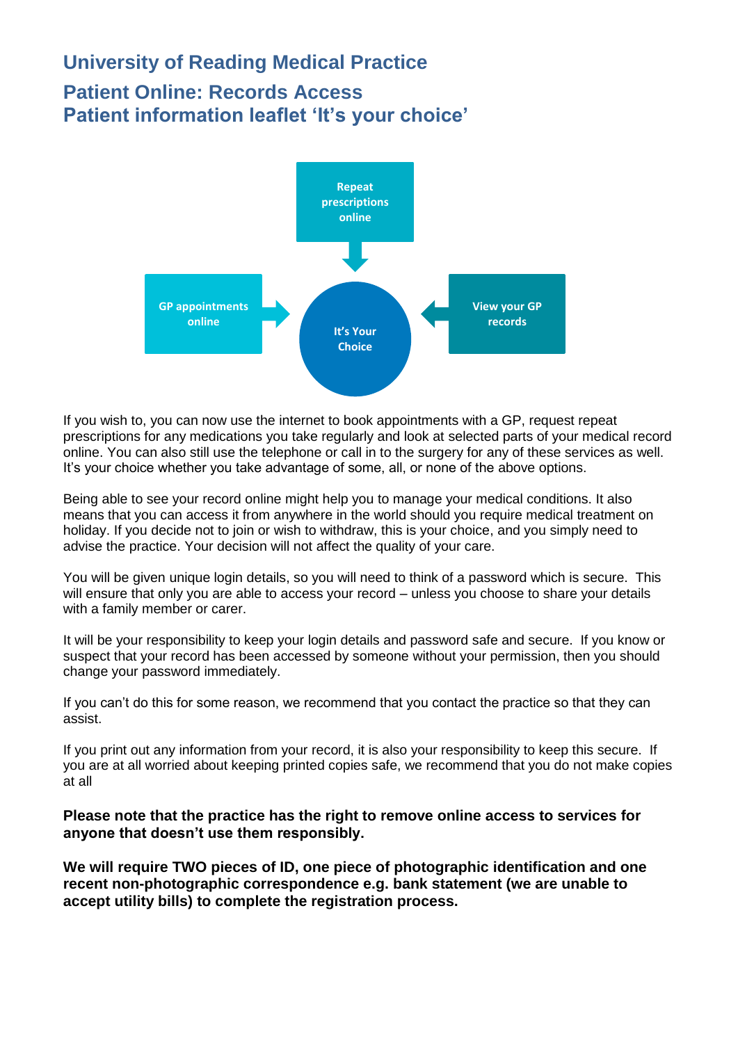## **University of Reading Medical Practice Patient Online: Records Access Patient information leaflet 'It's your choice'**



If you wish to, you can now use the internet to book appointments with a GP, request repeat prescriptions for any medications you take regularly and look at selected parts of your medical record online. You can also still use the telephone or call in to the surgery for any of these services as well. It's your choice whether you take advantage of some, all, or none of the above options.

Being able to see your record online might help you to manage your medical conditions. It also means that you can access it from anywhere in the world should you require medical treatment on holiday. If you decide not to join or wish to withdraw, this is your choice, and you simply need to advise the practice. Your decision will not affect the quality of your care.

You will be given unique login details, so you will need to think of a password which is secure. This will ensure that only you are able to access your record – unless you choose to share your details with a family member or carer.

It will be your responsibility to keep your login details and password safe and secure. If you know or suspect that your record has been accessed by someone without your permission, then you should change your password immediately.

If you can't do this for some reason, we recommend that you contact the practice so that they can assist.

If you print out any information from your record, it is also your responsibility to keep this secure. If you are at all worried about keeping printed copies safe, we recommend that you do not make copies at all

**Please note that the practice has the right to remove online access to services for anyone that doesn't use them responsibly.**

**We will require TWO pieces of ID, one piece of photographic identification and one recent non-photographic correspondence e.g. bank statement (we are unable to accept utility bills) to complete the registration process.**